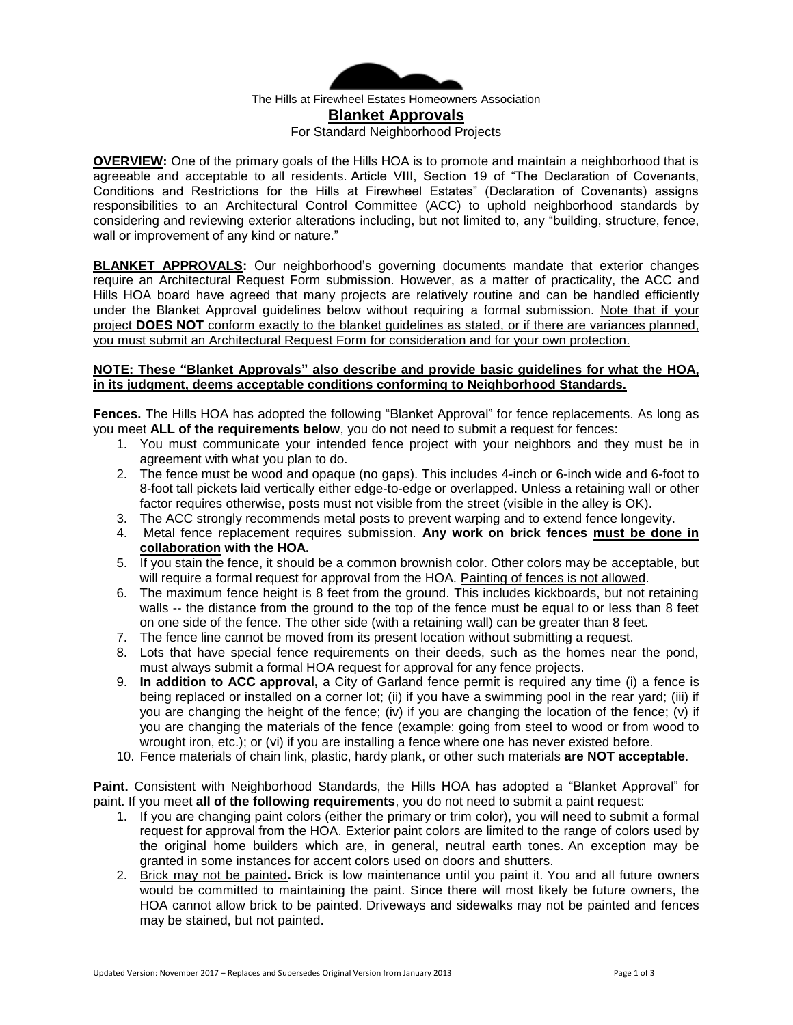

The Hills at Firewheel Estates Homeowners Association **Blanket Approvals**  For Standard Neighborhood Projects

**OVERVIEW:** One of the primary goals of the Hills HOA is to promote and maintain a neighborhood that is agreeable and acceptable to all residents. Article VIII, Section 19 of "The Declaration of Covenants, Conditions and Restrictions for the Hills at Firewheel Estates" (Declaration of Covenants) assigns responsibilities to an Architectural Control Committee (ACC) to uphold neighborhood standards by considering and reviewing exterior alterations including, but not limited to, any "building, structure, fence, wall or improvement of any kind or nature."

**BLANKET APPROVALS:** Our neighborhood's governing documents mandate that exterior changes require an Architectural Request Form submission. However, as a matter of practicality, the ACC and Hills HOA board have agreed that many projects are relatively routine and can be handled efficiently under the Blanket Approval guidelines below without requiring a formal submission. Note that if your project **DOES NOT** conform exactly to the blanket guidelines as stated, or if there are variances planned, you must submit an Architectural Request Form for consideration and for your own protection.

## **NOTE: These "Blanket Approvals" also describe and provide basic guidelines for what the HOA, in its judgment, deems acceptable conditions conforming to Neighborhood Standards.**

**Fences.** The Hills HOA has adopted the following "Blanket Approval" for fence replacements. As long as you meet **ALL of the requirements below**, you do not need to submit a request for fences:

- 1. You must communicate your intended fence project with your neighbors and they must be in agreement with what you plan to do.
- 2. The fence must be wood and opaque (no gaps). This includes 4-inch or 6-inch wide and 6-foot to 8-foot tall pickets laid vertically either edge-to-edge or overlapped. Unless a retaining wall or other factor requires otherwise, posts must not visible from the street (visible in the alley is OK).
- 3. The ACC strongly recommends metal posts to prevent warping and to extend fence longevity.
- 4. Metal fence replacement requires submission. **Any work on brick fences must be done in collaboration with the HOA.**
- 5. If you stain the fence, it should be a common brownish color. Other colors may be acceptable, but will require a formal request for approval from the HOA. Painting of fences is not allowed.
- 6. The maximum fence height is 8 feet from the ground. This includes kickboards, but not retaining walls -- the distance from the ground to the top of the fence must be equal to or less than 8 feet on one side of the fence. The other side (with a retaining wall) can be greater than 8 feet.
- 7. The fence line cannot be moved from its present location without submitting a request.
- 8. Lots that have special fence requirements on their deeds, such as the homes near the pond, must always submit a formal HOA request for approval for any fence projects.
- 9. **In addition to ACC approval,** a City of Garland fence permit is required any time (i) a fence is being replaced or installed on a corner lot; (ii) if you have a swimming pool in the rear yard; (iii) if you are changing the height of the fence; (iv) if you are changing the location of the fence; (v) if you are changing the materials of the fence (example: going from steel to wood or from wood to wrought iron, etc.); or (vi) if you are installing a fence where one has never existed before.
- 10. Fence materials of chain link, plastic, hardy plank, or other such materials **are NOT acceptable**.

**Paint.** Consistent with Neighborhood Standards, the Hills HOA has adopted a "Blanket Approval" for paint. If you meet **all of the following requirements**, you do not need to submit a paint request:

- 1. If you are changing paint colors (either the primary or trim color), you will need to submit a formal request for approval from the HOA. Exterior paint colors are limited to the range of colors used by the original home builders which are, in general, neutral earth tones. An exception may be granted in some instances for accent colors used on doors and shutters.
- 2. Brick may not be painted**.** Brick is low maintenance until you paint it. You and all future owners would be committed to maintaining the paint. Since there will most likely be future owners, the HOA cannot allow brick to be painted. Driveways and sidewalks may not be painted and fences may be stained, but not painted.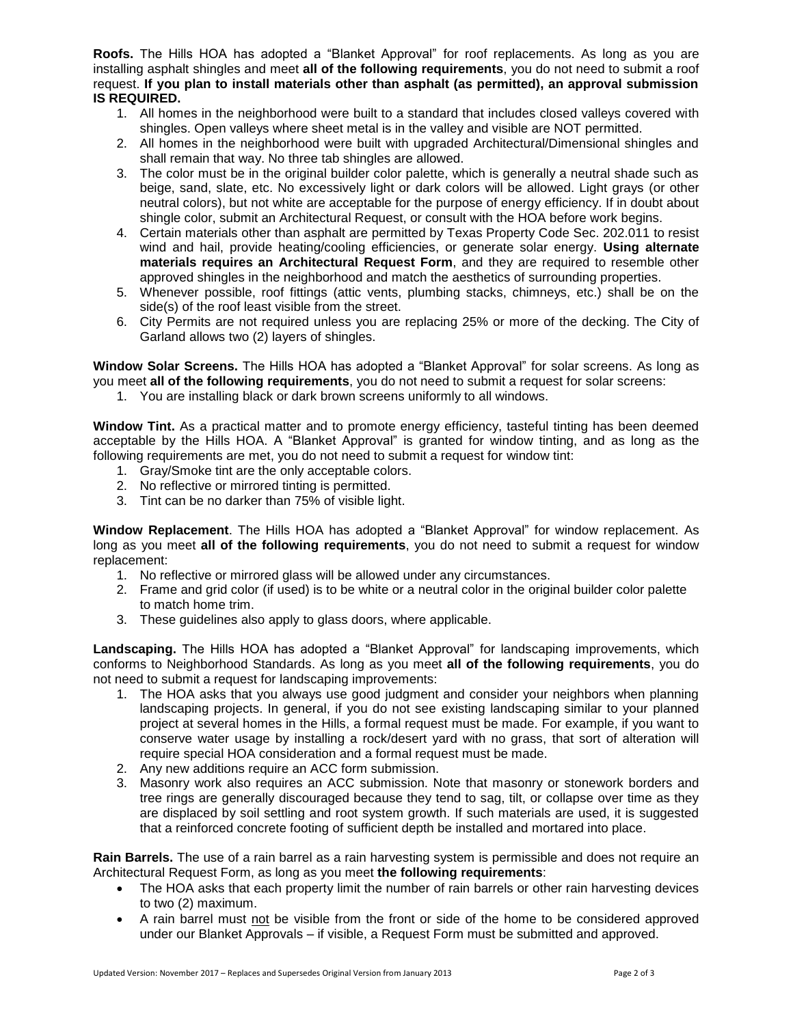**Roofs.** The Hills HOA has adopted a "Blanket Approval" for roof replacements. As long as you are installing asphalt shingles and meet **all of the following requirements**, you do not need to submit a roof request. **If you plan to install materials other than asphalt (as permitted), an approval submission IS REQUIRED.**

- 1. All homes in the neighborhood were built to a standard that includes closed valleys covered with shingles. Open valleys where sheet metal is in the valley and visible are NOT permitted.
- 2. All homes in the neighborhood were built with upgraded Architectural/Dimensional shingles and shall remain that way. No three tab shingles are allowed.
- 3. The color must be in the original builder color palette, which is generally a neutral shade such as beige, sand, slate, etc. No excessively light or dark colors will be allowed. Light grays (or other neutral colors), but not white are acceptable for the purpose of energy efficiency. If in doubt about shingle color, submit an Architectural Request, or consult with the HOA before work begins.
- 4. Certain materials other than asphalt are permitted by Texas Property Code Sec. 202.011 to resist wind and hail, provide heating/cooling efficiencies, or generate solar energy. **Using alternate materials requires an Architectural Request Form**, and they are required to resemble other approved shingles in the neighborhood and match the aesthetics of surrounding properties.
- 5. Whenever possible, roof fittings (attic vents, plumbing stacks, chimneys, etc.) shall be on the side(s) of the roof least visible from the street.
- 6. City Permits are not required unless you are replacing 25% or more of the decking. The City of Garland allows two (2) layers of shingles.

**Window Solar Screens.** The Hills HOA has adopted a "Blanket Approval" for solar screens. As long as you meet **all of the following requirements**, you do not need to submit a request for solar screens:

1. You are installing black or dark brown screens uniformly to all windows.

**Window Tint.** As a practical matter and to promote energy efficiency, tasteful tinting has been deemed acceptable by the Hills HOA. A "Blanket Approval" is granted for window tinting, and as long as the following requirements are met, you do not need to submit a request for window tint:

- 1. Gray/Smoke tint are the only acceptable colors.
- 2. No reflective or mirrored tinting is permitted.
- 3. Tint can be no darker than 75% of visible light.

**Window Replacement**. The Hills HOA has adopted a "Blanket Approval" for window replacement. As long as you meet **all of the following requirements**, you do not need to submit a request for window replacement:

- 1. No reflective or mirrored glass will be allowed under any circumstances.
- 2. Frame and grid color (if used) is to be white or a neutral color in the original builder color palette to match home trim.
- 3. These guidelines also apply to glass doors, where applicable.

**Landscaping.** The Hills HOA has adopted a "Blanket Approval" for landscaping improvements, which conforms to Neighborhood Standards. As long as you meet **all of the following requirements**, you do not need to submit a request for landscaping improvements:

- 1. The HOA asks that you always use good judgment and consider your neighbors when planning landscaping projects. In general, if you do not see existing landscaping similar to your planned project at several homes in the Hills, a formal request must be made. For example, if you want to conserve water usage by installing a rock/desert yard with no grass, that sort of alteration will require special HOA consideration and a formal request must be made.
- 2. Any new additions require an ACC form submission.
- 3. Masonry work also requires an ACC submission. Note that masonry or stonework borders and tree rings are generally discouraged because they tend to sag, tilt, or collapse over time as they are displaced by soil settling and root system growth. If such materials are used, it is suggested that a reinforced concrete footing of sufficient depth be installed and mortared into place.

**Rain Barrels.** The use of a rain barrel as a rain harvesting system is permissible and does not require an Architectural Request Form, as long as you meet **the following requirements**:

- The HOA asks that each property limit the number of rain barrels or other rain harvesting devices to two (2) maximum.
- A rain barrel must not be visible from the front or side of the home to be considered approved under our Blanket Approvals – if visible, a Request Form must be submitted and approved.